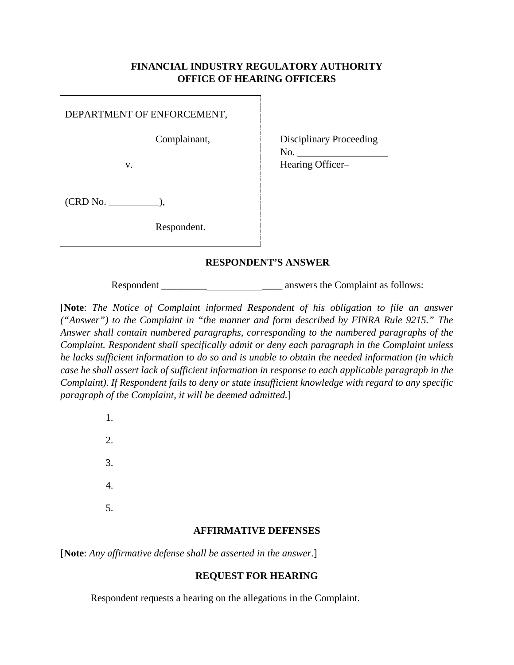## **FINANCIAL INDUSTRY REGULATORY AUTHORITY OFFICE OF HEARING OFFICERS**

DEPARTMENT OF ENFORCEMENT,

Complainant,

v.

Disciplinary Proceeding No. Hearing Officer–

(CRD No. \_\_\_\_\_\_\_\_\_\_),

Respondent.

## **RESPONDENT'S ANSWER**

Respondent \_\_\_\_\_\_\_\_\_\_\_\_\_\_\_\_\_\_\_\_\_\_\_\_ answers the Complaint as follows:

[**Note**: *The Notice of Complaint informed Respondent of his obligation to file an answer ("Answer") to the Complaint in "the manner and form described by FINRA Rule 9215." The Answer shall contain numbered paragraphs, corresponding to the numbered paragraphs of the Complaint. Respondent shall specifically admit or deny each paragraph in the Complaint unless he lacks sufficient information to do so and is unable to obtain the needed information (in which case he shall assert lack of sufficient information in response to each applicable paragraph in the Complaint). If Respondent fails to deny or state insufficient knowledge with regard to any specific paragraph of the Complaint, it will be deemed admitted.*]

> 1. 2. 3. 4. 5.

#### **AFFIRMATIVE DEFENSES**

[**Note**: *Any affirmative defense shall be asserted in the answer.*]

# **REQUEST FOR HEARING**

Respondent requests a hearing on the allegations in the Complaint.